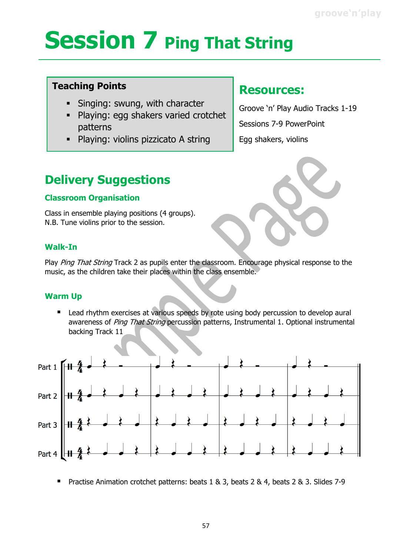## **Session 7 Ping That String**

### **Teaching Points**

- Singing: swung, with character
- Playing: egg shakers varied crotchet patterns
- Playing: violins pizzicato A string

### **Resources:**

Groove 'n' Play Audio Tracks 1-19 Sessions 7-9 PowerPoint Egg shakers, violins

## **Delivery Suggestions**

### **Classroom Organisation**

Class in ensemble playing positions (4 groups). N.B. Tune violins prior to the session.

### **Walk-In**

Play Ping That String Track 2 as pupils enter the classroom. Encourage physical response to the music, as the children take their places within the class ensemble.

### **Warm Up**

■ Lead rhythm exercises at various speeds by rote using body percussion to develop aural awareness of Ping That String percussion patterns, Instrumental 1. Optional instrumental backing Track 11



Practise Animation crotchet patterns: beats 1 & 3, beats 2 & 4, beats 2 & 3. Slides 7-9